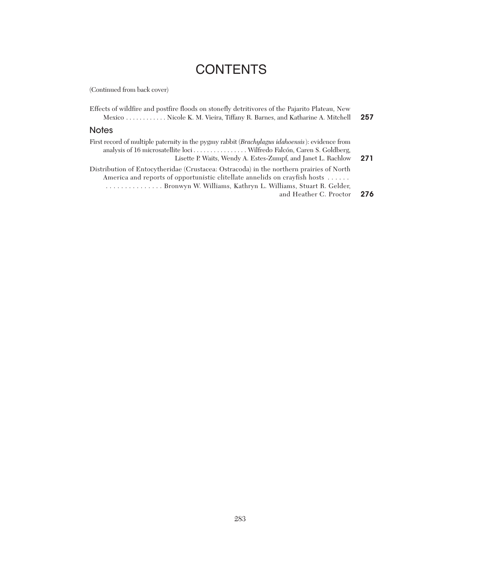# **CONTENTS**

(Continued from back cover)

| Effects of wildfire and postfire floods on stonefly detritivores of the Pajarito Plateau, New<br>Mexico  Nicole K. M. Vieira, Tiffany R. Barnes, and Katharine A. Mitchell                                                                                     | 257 |
|----------------------------------------------------------------------------------------------------------------------------------------------------------------------------------------------------------------------------------------------------------------|-----|
| <b>Notes</b>                                                                                                                                                                                                                                                   |     |
| First record of multiple paternity in the pygmy rabbit (Brachylagus idahoensis): evidence from<br>Lisette P. Waits, Wendy A. Estes-Zumpf, and Janet L. Rachlow                                                                                                 | 271 |
| Distribution of Entocytheridae (Crustacea: Ostracoda) in the northern prairies of North<br>America and reports of opportunistic clitellate annelids on crayfish hosts<br>Bronwyn W. Williams, Kathryn L. Williams, Stuart R. Gelder,<br>and Heather C. Proctor | 276 |
|                                                                                                                                                                                                                                                                |     |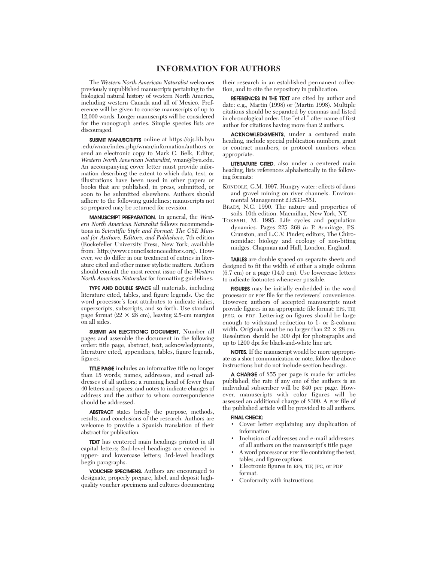## **INFORMATION FOR AUTHORS**

The *Western North American Naturalist* welcomes previously unpublished manuscripts pertaining to the biological natural history of western North America, including western Canada and all of Mexico. Preference will be given to concise manuscripts of up to 12,000 words. Longer manuscripts will be considered for the monograph series. Simple species lists are discouraged.

SUBMIT MANUSCRIPTS online at https://ojs.lib.byu .edu/wnan/index.php/wnan/information/authors or send an electronic copy to Mark C. Belk, Editor, *Western North American Naturalist,* wnan@byu.edu. An accompanying cover letter must provide information describing the extent to which data, text, or illustrations have been used in other papers or books that are published, in press, submitted, or soon to be submitted elsewhere. Authors should adhere to the following guidelines; manuscripts not so prepared may be returned for revision.

MANUSCRIPT PREPARATION. In general, the *Western North American Naturalist* follows recommendations in *Scientific Style and Format: The CSE Manual for Authors, Editors, and Publishers,* 7th edition (Rockefeller University Press, New York; available from: http://www.councilscienceeditors.org). However, we do differ in our treatment of entries in literature cited and other minor stylistic matters. Authors should consult the most recent issue of the *Western North American Naturalist* for formatting guidelines.

TYPE AND DOUBLE SPACE all materials, including literature cited, tables, and figure legends. Use the word processor's font attributes to indicate italics, superscripts, subscripts, and so forth. Use standard page format ( $22 \times 28$  cm), leaving 2.5-cm margins on all sides.

SUBMIT AN ELECTRONIC DOCUMENT. Number all pages and assemble the document in the following order: title page, abstract, text, acknowledgments, literature cited, appendixes, tables, figure legends, figures.

TITLE PAGE includes an informative title no longer than 15 words; names, addresses, and e-mail addresses of all authors; a running head of fewer than 40 letters and spaces; and notes to indicate changes of address and the author to whom correspondence should be addressed.

ABSTRACT states briefly the purpose, methods, results, and conclusions of the research. Authors are welcome to provide a Spanish translation of their abstract for publication.

TEXT has centered main headings printed in all capital letters; 2nd-level headings are centered in upper- and lowercase letters; 3rd-level headings begin paragraphs.

VOUCHER SPECIMENS. Authors are encouraged to designate, properly prepare, label, and deposit highquality voucher specimens and cultures documenting their research in an established permanent collection, and to cite the repository in publication.

REFERENCES IN THE TEXT are cited by author and date: e.g., Martin (1998) or (Martin 1998). Multiple citations should be separated by commas and listed in chronological order. Use "et al." after name of first author for citations having more than 2 authors.

ACKNOWLEDGMENTS, under a centered main heading, include special publication numbers, grant or contract numbers, or protocol numbers when appropriate.

LITERATURE CITED, also under a centered main heading, lists references alphabetically in the following formats:

- KONDOLE, G.M. 1997. Hungry water: effects of dams and gravel mining on river channels. Environmental Management 21:533–551.
- BRADY, N.C. 1990. The nature and properties of soils. 10th edition. Macmillan, New York, NY.
- TOKESHI, M. 1995. Life cycles and population dynamics. Pages 225–268 *in* P. Armitage, P.S. Cranston, and L.C.V. Pinder, editors, The Chironomidae: biology and ecology of non-biting midges. Chapman and Hall, London, England.

TABLES are double spaced on separate sheets and designed to fit the width of either a single column (6.7 cm) or a page (14.0 cm). Use lowercase letters to indicate footnotes whenever possible.

FIGURES may be initially embedded in the word processor or PDF file for the reviewers' convenience. However, authors of accepted manuscripts must provide figures in an appropriate file format: EPS, TIF, JPEG, or PDF. Lettering on figures should be large enough to withstand reduction to 1- or 2-column width. Originals must be no larger than  $22 \times 28$  cm. Resolution should be 300 dpi for photographs and up to 1200 dpi for black-and-white line art.

NOTES. If the manuscript would be more appropriate as a short communication or note, follow the above instructions but do not include section headings.

A CHARGE of \$55 per page is made for articles published; the rate if any one of the authors is an individual subscriber will be \$40 per page. However, manuscripts with color figures will be assessed an additional charge of \$300. A PDF file of the published article will be provided to all authors.

### FINAL CHECK:

- Cover letter explaining any duplication of information
- Inclusion of addresses and e-mail addresses of all authors on the manuscript's title page
- A word processor or PDF file containing the text, tables, and figure captions.
- Electronic figures in EPS, TIF, JPG, or PDF format.
- Conformity with instructions